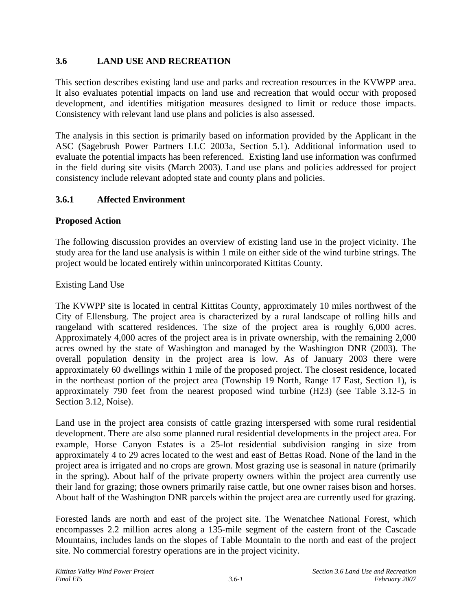# **3.6 LAND USE AND RECREATION**

This section describes existing land use and parks and recreation resources in the KVWPP area. It also evaluates potential impacts on land use and recreation that would occur with proposed development, and identifies mitigation measures designed to limit or reduce those impacts. Consistency with relevant land use plans and policies is also assessed.

The analysis in this section is primarily based on information provided by the Applicant in the ASC (Sagebrush Power Partners LLC 2003a, Section 5.1). Additional information used to evaluate the potential impacts has been referenced. Existing land use information was confirmed in the field during site visits (March 2003). Land use plans and policies addressed for project consistency include relevant adopted state and county plans and policies.

## **3.6.1 Affected Environment**

## **Proposed Action**

The following discussion provides an overview of existing land use in the project vicinity. The study area for the land use analysis is within 1 mile on either side of the wind turbine strings. The project would be located entirely within unincorporated Kittitas County.

## Existing Land Use

The KVWPP site is located in central Kittitas County, approximately 10 miles northwest of the City of Ellensburg. The project area is characterized by a rural landscape of rolling hills and rangeland with scattered residences. The size of the project area is roughly 6,000 acres. Approximately 4,000 acres of the project area is in private ownership, with the remaining 2,000 acres owned by the state of Washington and managed by the Washington DNR (2003). The overall population density in the project area is low. As of January 2003 there were approximately 60 dwellings within 1 mile of the proposed project. The closest residence, located in the northeast portion of the project area (Township 19 North, Range 17 East, Section 1), is approximately 790 feet from the nearest proposed wind turbine (H23) (see Table 3.12-5 in Section 3.12, Noise).

Land use in the project area consists of cattle grazing interspersed with some rural residential development. There are also some planned rural residential developments in the project area. For example, Horse Canyon Estates is a 25-lot residential subdivision ranging in size from approximately 4 to 29 acres located to the west and east of Bettas Road. None of the land in the project area is irrigated and no crops are grown. Most grazing use is seasonal in nature (primarily in the spring). About half of the private property owners within the project area currently use their land for grazing; those owners primarily raise cattle, but one owner raises bison and horses. About half of the Washington DNR parcels within the project area are currently used for grazing.

Forested lands are north and east of the project site. The Wenatchee National Forest, which encompasses 2.2 million acres along a 135-mile segment of the eastern front of the Cascade Mountains, includes lands on the slopes of Table Mountain to the north and east of the project site. No commercial forestry operations are in the project vicinity.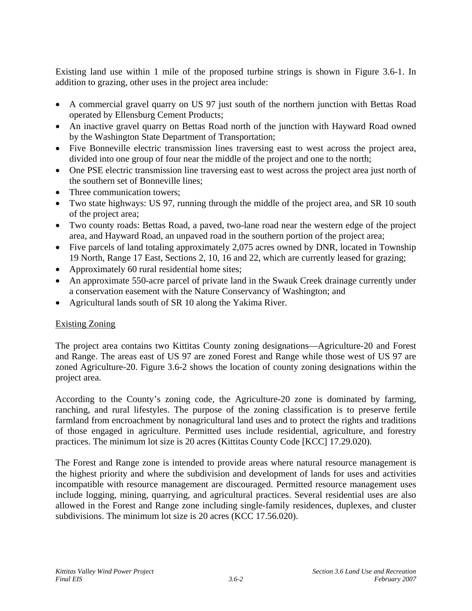Existing land use within 1 mile of the proposed turbine strings is shown in Figure 3.6-1. In addition to grazing, other uses in the project area include:

- A commercial gravel quarry on US 97 just south of the northern junction with Bettas Road operated by Ellensburg Cement Products;
- An inactive gravel quarry on Bettas Road north of the junction with Hayward Road owned by the Washington State Department of Transportation;
- Five Bonneville electric transmission lines traversing east to west across the project area, divided into one group of four near the middle of the project and one to the north;
- One PSE electric transmission line traversing east to west across the project area just north of the southern set of Bonneville lines;
- Three communication towers:
- Two state highways: US 97, running through the middle of the project area, and SR 10 south of the project area;
- Two county roads: Bettas Road, a paved, two-lane road near the western edge of the project area, and Hayward Road, an unpaved road in the southern portion of the project area;
- Five parcels of land totaling approximately 2,075 acres owned by DNR, located in Township 19 North, Range 17 East, Sections 2, 10, 16 and 22, which are currently leased for grazing;
- Approximately 60 rural residential home sites;
- An approximate 550-acre parcel of private land in the Swauk Creek drainage currently under a conservation easement with the Nature Conservancy of Washington; and
- Agricultural lands south of SR 10 along the Yakima River.

# Existing Zoning

The project area contains two Kittitas County zoning designations—Agriculture-20 and Forest and Range. The areas east of US 97 are zoned Forest and Range while those west of US 97 are zoned Agriculture-20. Figure 3.6-2 shows the location of county zoning designations within the project area.

According to the County's zoning code, the Agriculture-20 zone is dominated by farming, ranching, and rural lifestyles. The purpose of the zoning classification is to preserve fertile farmland from encroachment by nonagricultural land uses and to protect the rights and traditions of those engaged in agriculture. Permitted uses include residential, agriculture, and forestry practices. The minimum lot size is 20 acres (Kittitas County Code [KCC] 17.29.020).

The Forest and Range zone is intended to provide areas where natural resource management is the highest priority and where the subdivision and development of lands for uses and activities incompatible with resource management are discouraged. Permitted resource management uses include logging, mining, quarrying, and agricultural practices. Several residential uses are also allowed in the Forest and Range zone including single-family residences, duplexes, and cluster subdivisions. The minimum lot size is 20 acres (KCC 17.56.020).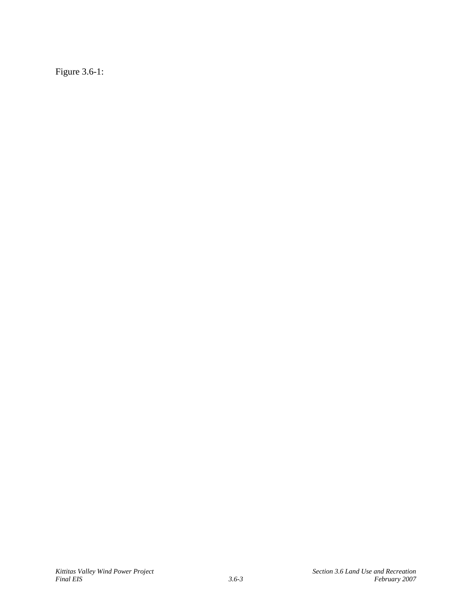Figure 3.6-1: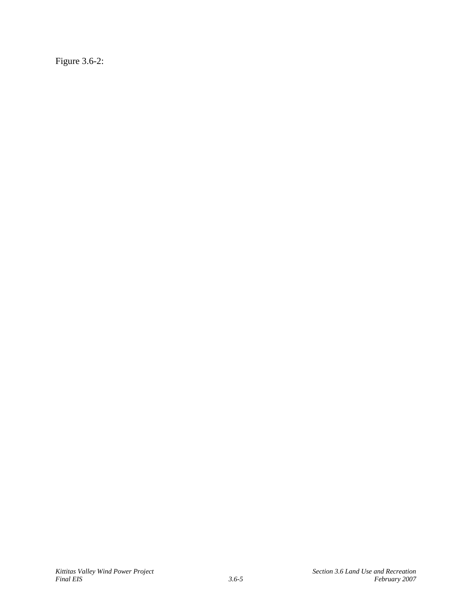Figure 3.6-2: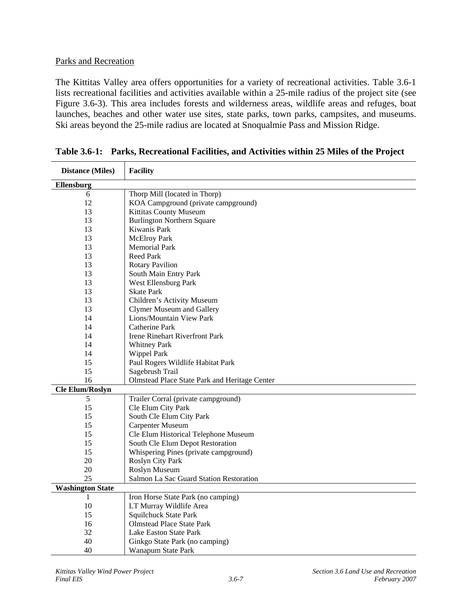#### Parks and Recreation

The Kittitas Valley area offers opportunities for a variety of recreational activities. Table 3.6-1 lists recreational facilities and activities available within a 25-mile radius of the project site (see Figure 3.6-3). This area includes forests and wilderness areas, wildlife areas and refuges, boat launches, beaches and other water use sites, state parks, town parks, campsites, and museums. Ski areas beyond the 25-mile radius are located at Snoqualmie Pass and Mission Ridge.

| <b>Distance (Miles)</b> | <b>Facility</b>                               |  |  |
|-------------------------|-----------------------------------------------|--|--|
| Ellensburg              |                                               |  |  |
| 6                       | Thorp Mill (located in Thorp)                 |  |  |
| 12                      | KOA Campground (private campground)           |  |  |
| 13                      | Kittitas County Museum                        |  |  |
| 13                      | <b>Burlington Northern Square</b>             |  |  |
| 13                      | Kiwanis Park                                  |  |  |
| 13                      | <b>McElroy Park</b>                           |  |  |
| 13                      | <b>Memorial Park</b>                          |  |  |
| 13                      | <b>Reed Park</b>                              |  |  |
| 13                      | <b>Rotary Pavilion</b>                        |  |  |
| 13                      | South Main Entry Park                         |  |  |
| 13                      | West Ellensburg Park                          |  |  |
| 13                      | <b>Skate Park</b>                             |  |  |
| 13                      | Children's Activity Museum                    |  |  |
| 13                      | <b>Clymer Museum and Gallery</b>              |  |  |
| 14                      | Lions/Mountain View Park                      |  |  |
| 14                      | <b>Catherine Park</b>                         |  |  |
| 14                      | <b>Irene Rinehart Riverfront Park</b>         |  |  |
| 14                      | <b>Whitney Park</b>                           |  |  |
| 14                      | Wippel Park                                   |  |  |
| 15                      | Paul Rogers Wildlife Habitat Park             |  |  |
| 15                      | Sagebrush Trail                               |  |  |
| 16                      | Olmstead Place State Park and Heritage Center |  |  |
| <b>Cle Elum/Roslyn</b>  |                                               |  |  |
| 5                       | Trailer Corral (private campground)           |  |  |
| 15                      | Cle Elum City Park                            |  |  |
| 15                      | South Cle Elum City Park                      |  |  |
| 15                      | Carpenter Museum                              |  |  |
| 15                      | Cle Elum Historical Telephone Museum          |  |  |
| 15                      | South Cle Elum Depot Restoration              |  |  |
| 15                      | Whispering Pines (private campground)         |  |  |
| 20                      | Roslyn City Park                              |  |  |
| 20                      | Roslyn Museum                                 |  |  |
| 25                      | Salmon La Sac Guard Station Restoration       |  |  |
| <b>Washington State</b> |                                               |  |  |
| 1                       | Iron Horse State Park (no camping)            |  |  |
| 10                      | LT Murray Wildlife Area                       |  |  |
| 15                      | Squilchuck State Park                         |  |  |
| 16                      | <b>Olmstead Place State Park</b>              |  |  |
| 32                      | Lake Easton State Park                        |  |  |
| 40                      | Ginkgo State Park (no camping)                |  |  |
| 40                      | <b>Wanapum State Park</b>                     |  |  |

**Table 3.6-1: Parks, Recreational Facilities, and Activities within 25 Miles of the Project**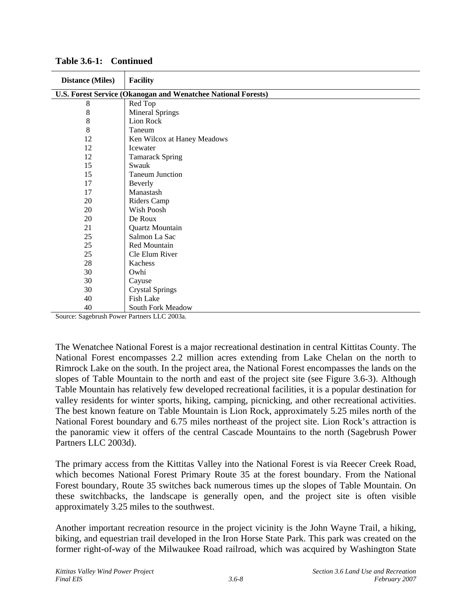| <b>Distance (Miles)</b>                                       | <b>Facility</b>                                  |  |
|---------------------------------------------------------------|--------------------------------------------------|--|
| U.S. Forest Service (Okanogan and Wenatchee National Forests) |                                                  |  |
| 8                                                             | Red Top                                          |  |
| 8                                                             | <b>Mineral Springs</b>                           |  |
| 8                                                             | Lion Rock                                        |  |
| 8                                                             | Taneum                                           |  |
| 12                                                            | Ken Wilcox at Haney Meadows                      |  |
| 12                                                            | Icewater                                         |  |
| 12                                                            | <b>Tamarack Spring</b>                           |  |
| 15                                                            | Swauk                                            |  |
| 15                                                            | <b>Taneum Junction</b>                           |  |
| 17                                                            | Beverly                                          |  |
| 17                                                            | Manastash                                        |  |
| 20                                                            | Riders Camp                                      |  |
| 20                                                            | Wish Poosh                                       |  |
| 20                                                            | De Roux                                          |  |
| 21                                                            | Quartz Mountain                                  |  |
| 25                                                            | Salmon La Sac                                    |  |
| 25                                                            | Red Mountain                                     |  |
| 25                                                            | Cle Elum River                                   |  |
| 28                                                            | Kachess                                          |  |
| 30                                                            | Owhi                                             |  |
| 30                                                            | Cayuse                                           |  |
| 30                                                            | <b>Crystal Springs</b>                           |  |
| 40                                                            | Fish Lake                                        |  |
| 40<br>$0 \quad 1 \quad 1 \quad D$<br>$\sim$                   | South Fork Meadow<br>$P_{\text{H}}$ $I L C 2002$ |  |

**Table 3.6-1: Continued** 

Source: Sagebrush Power Partners LLC 2003a.

The Wenatchee National Forest is a major recreational destination in central Kittitas County. The National Forest encompasses 2.2 million acres extending from Lake Chelan on the north to Rimrock Lake on the south. In the project area, the National Forest encompasses the lands on the slopes of Table Mountain to the north and east of the project site (see Figure 3.6-3). Although Table Mountain has relatively few developed recreational facilities, it is a popular destination for valley residents for winter sports, hiking, camping, picnicking, and other recreational activities. The best known feature on Table Mountain is Lion Rock, approximately 5.25 miles north of the National Forest boundary and 6.75 miles northeast of the project site. Lion Rock's attraction is the panoramic view it offers of the central Cascade Mountains to the north (Sagebrush Power Partners LLC 2003d).

The primary access from the Kittitas Valley into the National Forest is via Reecer Creek Road, which becomes National Forest Primary Route 35 at the forest boundary. From the National Forest boundary, Route 35 switches back numerous times up the slopes of Table Mountain. On these switchbacks, the landscape is generally open, and the project site is often visible approximately 3.25 miles to the southwest.

Another important recreation resource in the project vicinity is the John Wayne Trail, a hiking, biking, and equestrian trail developed in the Iron Horse State Park. This park was created on the former right-of-way of the Milwaukee Road railroad, which was acquired by Washington State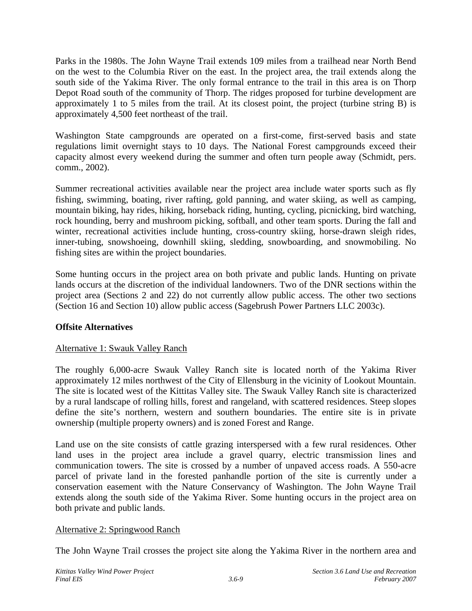Parks in the 1980s. The John Wayne Trail extends 109 miles from a trailhead near North Bend on the west to the Columbia River on the east. In the project area, the trail extends along the south side of the Yakima River. The only formal entrance to the trail in this area is on Thorp Depot Road south of the community of Thorp. The ridges proposed for turbine development are approximately 1 to 5 miles from the trail. At its closest point, the project (turbine string B) is approximately 4,500 feet northeast of the trail.

Washington State campgrounds are operated on a first-come, first-served basis and state regulations limit overnight stays to 10 days. The National Forest campgrounds exceed their capacity almost every weekend during the summer and often turn people away (Schmidt, pers. comm., 2002).

Summer recreational activities available near the project area include water sports such as fly fishing, swimming, boating, river rafting, gold panning, and water skiing, as well as camping, mountain biking, hay rides, hiking, horseback riding, hunting, cycling, picnicking, bird watching, rock hounding, berry and mushroom picking, softball, and other team sports. During the fall and winter, recreational activities include hunting, cross-country skiing, horse-drawn sleigh rides, inner-tubing, snowshoeing, downhill skiing, sledding, snowboarding, and snowmobiling. No fishing sites are within the project boundaries.

Some hunting occurs in the project area on both private and public lands. Hunting on private lands occurs at the discretion of the individual landowners. Two of the DNR sections within the project area (Sections 2 and 22) do not currently allow public access. The other two sections (Section 16 and Section 10) allow public access (Sagebrush Power Partners LLC 2003c).

# **Offsite Alternatives**

# Alternative 1: Swauk Valley Ranch

The roughly 6,000-acre Swauk Valley Ranch site is located north of the Yakima River approximately 12 miles northwest of the City of Ellensburg in the vicinity of Lookout Mountain. The site is located west of the Kittitas Valley site. The Swauk Valley Ranch site is characterized by a rural landscape of rolling hills, forest and rangeland, with scattered residences. Steep slopes define the site's northern, western and southern boundaries. The entire site is in private ownership (multiple property owners) and is zoned Forest and Range.

Land use on the site consists of cattle grazing interspersed with a few rural residences. Other land uses in the project area include a gravel quarry, electric transmission lines and communication towers. The site is crossed by a number of unpaved access roads. A 550-acre parcel of private land in the forested panhandle portion of the site is currently under a conservation easement with the Nature Conservancy of Washington. The John Wayne Trail extends along the south side of the Yakima River. Some hunting occurs in the project area on both private and public lands.

## Alternative 2: Springwood Ranch

The John Wayne Trail crosses the project site along the Yakima River in the northern area and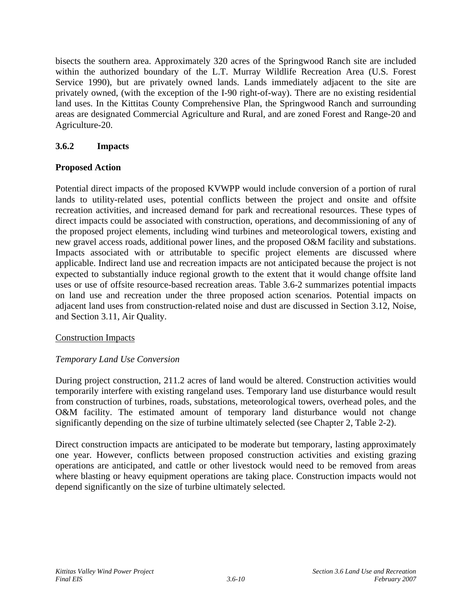bisects the southern area. Approximately 320 acres of the Springwood Ranch site are included within the authorized boundary of the L.T. Murray Wildlife Recreation Area (U.S. Forest Service 1990), but are privately owned lands. Lands immediately adjacent to the site are privately owned, (with the exception of the I-90 right-of-way). There are no existing residential land uses. In the Kittitas County Comprehensive Plan, the Springwood Ranch and surrounding areas are designated Commercial Agriculture and Rural, and are zoned Forest and Range-20 and Agriculture-20.

# **3.6.2 Impacts**

## **Proposed Action**

Potential direct impacts of the proposed KVWPP would include conversion of a portion of rural lands to utility-related uses, potential conflicts between the project and onsite and offsite recreation activities, and increased demand for park and recreational resources. These types of direct impacts could be associated with construction, operations, and decommissioning of any of the proposed project elements, including wind turbines and meteorological towers, existing and new gravel access roads, additional power lines, and the proposed O&M facility and substations. Impacts associated with or attributable to specific project elements are discussed where applicable. Indirect land use and recreation impacts are not anticipated because the project is not expected to substantially induce regional growth to the extent that it would change offsite land uses or use of offsite resource-based recreation areas. Table 3.6-2 summarizes potential impacts on land use and recreation under the three proposed action scenarios. Potential impacts on adjacent land uses from construction-related noise and dust are discussed in Section 3.12, Noise, and Section 3.11, Air Quality.

## Construction Impacts

## *Temporary Land Use Conversion*

During project construction, 211.2 acres of land would be altered. Construction activities would temporarily interfere with existing rangeland uses. Temporary land use disturbance would result from construction of turbines, roads, substations, meteorological towers, overhead poles, and the O&M facility. The estimated amount of temporary land disturbance would not change significantly depending on the size of turbine ultimately selected (see Chapter 2, Table 2-2).

Direct construction impacts are anticipated to be moderate but temporary, lasting approximately one year. However, conflicts between proposed construction activities and existing grazing operations are anticipated, and cattle or other livestock would need to be removed from areas where blasting or heavy equipment operations are taking place. Construction impacts would not depend significantly on the size of turbine ultimately selected.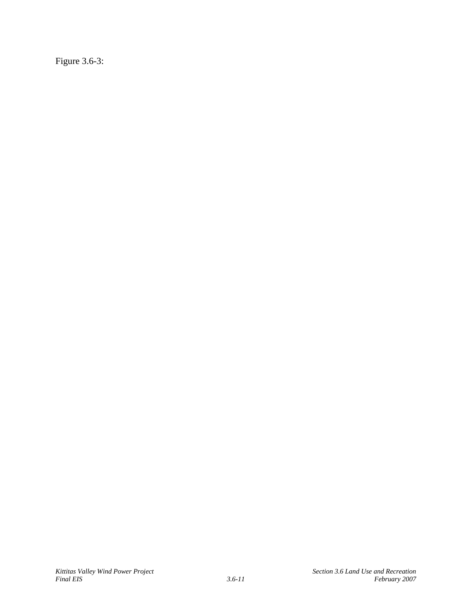Figure 3.6-3: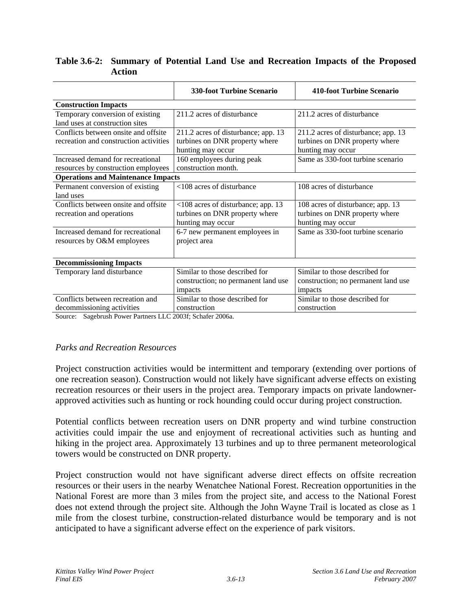|                                           | <b>330-foot Turbine Scenario</b>    | 410-foot Turbine Scenario           |  |  |  |
|-------------------------------------------|-------------------------------------|-------------------------------------|--|--|--|
| <b>Construction Impacts</b>               |                                     |                                     |  |  |  |
| Temporary conversion of existing          | 211.2 acres of disturbance          | 211.2 acres of disturbance          |  |  |  |
| land uses at construction sites           |                                     |                                     |  |  |  |
| Conflicts between onsite and offsite      | 211.2 acres of disturbance; app. 13 | 211.2 acres of disturbance; app. 13 |  |  |  |
| recreation and construction activities    | turbines on DNR property where      | turbines on DNR property where      |  |  |  |
|                                           | hunting may occur                   | hunting may occur                   |  |  |  |
| Increased demand for recreational         | 160 employees during peak           | Same as 330-foot turbine scenario   |  |  |  |
| resources by construction employees       | construction month.                 |                                     |  |  |  |
| <b>Operations and Maintenance Impacts</b> |                                     |                                     |  |  |  |
| Permanent conversion of existing          | <108 acres of disturbance           | 108 acres of disturbance            |  |  |  |
| land uses                                 |                                     |                                     |  |  |  |
| Conflicts between onsite and offsite      | <108 acres of disturbance; app. 13  | 108 acres of disturbance; app. 13   |  |  |  |
| recreation and operations                 | turbines on DNR property where      | turbines on DNR property where      |  |  |  |
|                                           | hunting may occur                   | hunting may occur                   |  |  |  |
| Increased demand for recreational         | 6-7 new permanent employees in      | Same as 330-foot turbine scenario   |  |  |  |
| resources by O&M employees                | project area                        |                                     |  |  |  |
|                                           |                                     |                                     |  |  |  |
| <b>Decommissioning Impacts</b>            |                                     |                                     |  |  |  |
| Temporary land disturbance                | Similar to those described for      | Similar to those described for      |  |  |  |
|                                           | construction; no permanent land use | construction; no permanent land use |  |  |  |
|                                           | impacts                             | impacts                             |  |  |  |
| Conflicts between recreation and          | Similar to those described for      | Similar to those described for      |  |  |  |
| decommissioning activities                | construction                        | construction                        |  |  |  |

#### **Table 3.6-2: Summary of Potential Land Use and Recreation Impacts of the Proposed Action**

Source: Sagebrush Power Partners LLC 2003f; Schafer 2006a.

## *Parks and Recreation Resources*

Project construction activities would be intermittent and temporary (extending over portions of one recreation season). Construction would not likely have significant adverse effects on existing recreation resources or their users in the project area. Temporary impacts on private landownerapproved activities such as hunting or rock hounding could occur during project construction.

Potential conflicts between recreation users on DNR property and wind turbine construction activities could impair the use and enjoyment of recreational activities such as hunting and hiking in the project area. Approximately 13 turbines and up to three permanent meteorological towers would be constructed on DNR property.

Project construction would not have significant adverse direct effects on offsite recreation resources or their users in the nearby Wenatchee National Forest. Recreation opportunities in the National Forest are more than 3 miles from the project site, and access to the National Forest does not extend through the project site. Although the John Wayne Trail is located as close as 1 mile from the closest turbine, construction-related disturbance would be temporary and is not anticipated to have a significant adverse effect on the experience of park visitors.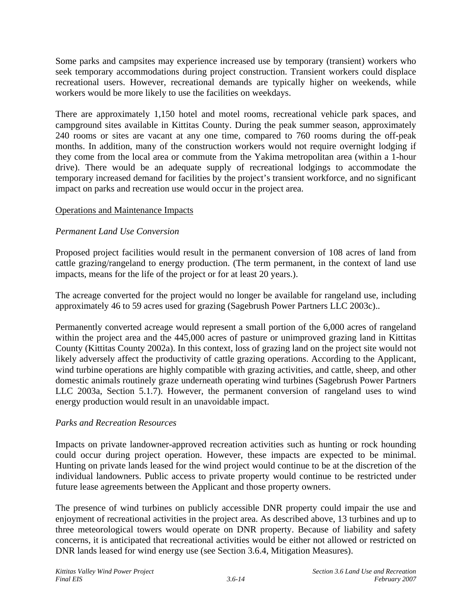Some parks and campsites may experience increased use by temporary (transient) workers who seek temporary accommodations during project construction. Transient workers could displace recreational users. However, recreational demands are typically higher on weekends, while workers would be more likely to use the facilities on weekdays.

There are approximately 1,150 hotel and motel rooms, recreational vehicle park spaces, and campground sites available in Kittitas County. During the peak summer season, approximately 240 rooms or sites are vacant at any one time, compared to 760 rooms during the off-peak months. In addition, many of the construction workers would not require overnight lodging if they come from the local area or commute from the Yakima metropolitan area (within a 1-hour drive). There would be an adequate supply of recreational lodgings to accommodate the temporary increased demand for facilities by the project's transient workforce, and no significant impact on parks and recreation use would occur in the project area.

## Operations and Maintenance Impacts

## *Permanent Land Use Conversion*

Proposed project facilities would result in the permanent conversion of 108 acres of land from cattle grazing/rangeland to energy production. (The term permanent, in the context of land use impacts, means for the life of the project or for at least 20 years.).

The acreage converted for the project would no longer be available for rangeland use, including approximately 46 to 59 acres used for grazing (Sagebrush Power Partners LLC 2003c)..

Permanently converted acreage would represent a small portion of the 6,000 acres of rangeland within the project area and the 445,000 acres of pasture or unimproved grazing land in Kittitas County (Kittitas County 2002a). In this context, loss of grazing land on the project site would not likely adversely affect the productivity of cattle grazing operations. According to the Applicant, wind turbine operations are highly compatible with grazing activities, and cattle, sheep, and other domestic animals routinely graze underneath operating wind turbines (Sagebrush Power Partners LLC 2003a, Section 5.1.7). However, the permanent conversion of rangeland uses to wind energy production would result in an unavoidable impact.

#### *Parks and Recreation Resources*

Impacts on private landowner-approved recreation activities such as hunting or rock hounding could occur during project operation. However, these impacts are expected to be minimal. Hunting on private lands leased for the wind project would continue to be at the discretion of the individual landowners. Public access to private property would continue to be restricted under future lease agreements between the Applicant and those property owners.

The presence of wind turbines on publicly accessible DNR property could impair the use and enjoyment of recreational activities in the project area. As described above, 13 turbines and up to three meteorological towers would operate on DNR property. Because of liability and safety concerns, it is anticipated that recreational activities would be either not allowed or restricted on DNR lands leased for wind energy use (see Section 3.6.4, Mitigation Measures).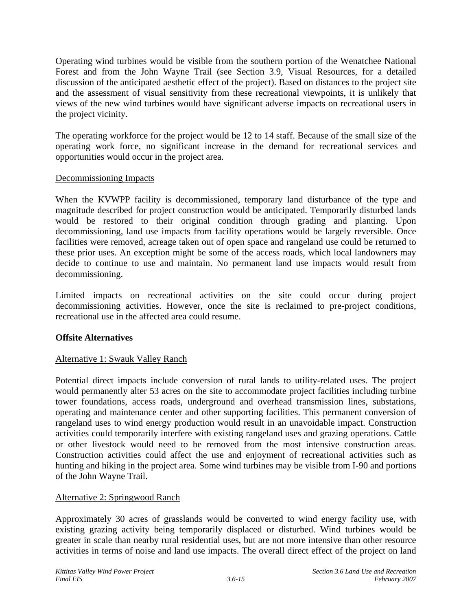Operating wind turbines would be visible from the southern portion of the Wenatchee National Forest and from the John Wayne Trail (see Section 3.9, Visual Resources, for a detailed discussion of the anticipated aesthetic effect of the project). Based on distances to the project site and the assessment of visual sensitivity from these recreational viewpoints, it is unlikely that views of the new wind turbines would have significant adverse impacts on recreational users in the project vicinity.

The operating workforce for the project would be 12 to 14 staff. Because of the small size of the operating work force, no significant increase in the demand for recreational services and opportunities would occur in the project area.

## Decommissioning Impacts

When the KVWPP facility is decommissioned, temporary land disturbance of the type and magnitude described for project construction would be anticipated. Temporarily disturbed lands would be restored to their original condition through grading and planting. Upon decommissioning, land use impacts from facility operations would be largely reversible. Once facilities were removed, acreage taken out of open space and rangeland use could be returned to these prior uses. An exception might be some of the access roads, which local landowners may decide to continue to use and maintain. No permanent land use impacts would result from decommissioning.

Limited impacts on recreational activities on the site could occur during project decommissioning activities. However, once the site is reclaimed to pre-project conditions, recreational use in the affected area could resume.

## **Offsite Alternatives**

# Alternative 1: Swauk Valley Ranch

Potential direct impacts include conversion of rural lands to utility-related uses. The project would permanently alter 53 acres on the site to accommodate project facilities including turbine tower foundations, access roads, underground and overhead transmission lines, substations, operating and maintenance center and other supporting facilities. This permanent conversion of rangeland uses to wind energy production would result in an unavoidable impact. Construction activities could temporarily interfere with existing rangeland uses and grazing operations. Cattle or other livestock would need to be removed from the most intensive construction areas. Construction activities could affect the use and enjoyment of recreational activities such as hunting and hiking in the project area. Some wind turbines may be visible from I-90 and portions of the John Wayne Trail.

## Alternative 2: Springwood Ranch

Approximately 30 acres of grasslands would be converted to wind energy facility use, with existing grazing activity being temporarily displaced or disturbed. Wind turbines would be greater in scale than nearby rural residential uses, but are not more intensive than other resource activities in terms of noise and land use impacts. The overall direct effect of the project on land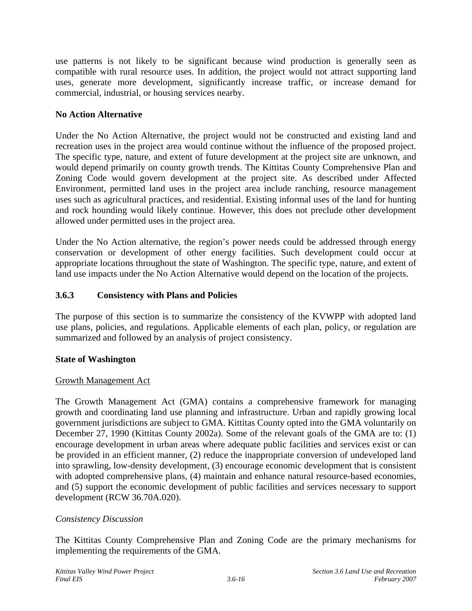use patterns is not likely to be significant because wind production is generally seen as compatible with rural resource uses. In addition, the project would not attract supporting land uses, generate more development, significantly increase traffic, or increase demand for commercial, industrial, or housing services nearby.

## **No Action Alternative**

Under the No Action Alternative, the project would not be constructed and existing land and recreation uses in the project area would continue without the influence of the proposed project. The specific type, nature, and extent of future development at the project site are unknown, and would depend primarily on county growth trends. The Kittitas County Comprehensive Plan and Zoning Code would govern development at the project site. As described under Affected Environment, permitted land uses in the project area include ranching, resource management uses such as agricultural practices, and residential. Existing informal uses of the land for hunting and rock hounding would likely continue. However, this does not preclude other development allowed under permitted uses in the project area.

Under the No Action alternative, the region's power needs could be addressed through energy conservation or development of other energy facilities. Such development could occur at appropriate locations throughout the state of Washington. The specific type, nature, and extent of land use impacts under the No Action Alternative would depend on the location of the projects.

# **3.6.3 Consistency with Plans and Policies**

The purpose of this section is to summarize the consistency of the KVWPP with adopted land use plans, policies, and regulations. Applicable elements of each plan, policy, or regulation are summarized and followed by an analysis of project consistency.

## **State of Washington**

## Growth Management Act

The Growth Management Act (GMA) contains a comprehensive framework for managing growth and coordinating land use planning and infrastructure. Urban and rapidly growing local government jurisdictions are subject to GMA. Kittitas County opted into the GMA voluntarily on December 27, 1990 (Kittitas County 2002a). Some of the relevant goals of the GMA are to: (1) encourage development in urban areas where adequate public facilities and services exist or can be provided in an efficient manner, (2) reduce the inappropriate conversion of undeveloped land into sprawling, low-density development, (3) encourage economic development that is consistent with adopted comprehensive plans, (4) maintain and enhance natural resource-based economies, and (5) support the economic development of public facilities and services necessary to support development (RCW 36.70A.020).

## *Consistency Discussion*

The Kittitas County Comprehensive Plan and Zoning Code are the primary mechanisms for implementing the requirements of the GMA.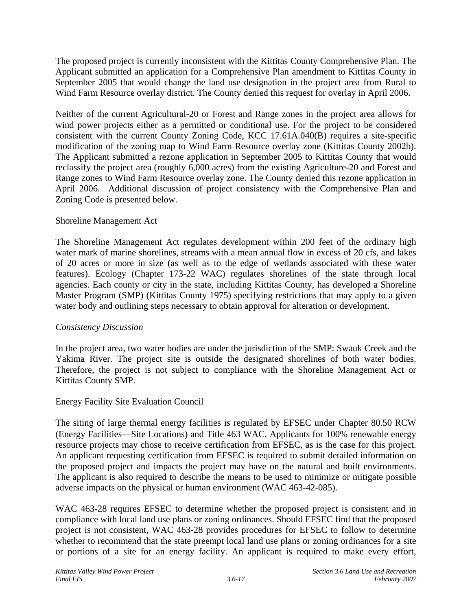The proposed project is currently inconsistent with the Kittitas County Comprehensive Plan. The Applicant submitted an application for a Comprehensive Plan amendment to Kittitas County in September 2005 that would change the land use designation in the project area from Rural to Wind Farm Resource overlay district. The County denied this request for overlay in April 2006.

Neither of the current Agricultural-20 or Forest and Range zones in the project area allows for wind power projects either as a permitted or conditional use. For the project to be considered consistent with the current County Zoning Code, KCC 17.61A.040(B) requires a site-specific modification of the zoning map to Wind Farm Resource overlay zone (Kittitas County 2002b). The Applicant submitted a rezone application in September 2005 to Kittitas County that would reclassify the project area (roughly 6,000 acres) from the existing Agriculture-20 and Forest and Range zones to Wind Farm Resource overlay zone. The County denied this rezone application in April 2006. Additional discussion of project consistency with the Comprehensive Plan and Zoning Code is presented below.

#### Shoreline Management Act

The Shoreline Management Act regulates development within 200 feet of the ordinary high water mark of marine shorelines, streams with a mean annual flow in excess of 20 cfs, and lakes of 20 acres or more in size (as well as to the edge of wetlands associated with these water features). Ecology (Chapter 173-22 WAC) regulates shorelines of the state through local agencies. Each county or city in the state, including Kittitas County, has developed a Shoreline Master Program (SMP) (Kittitas County 1975) specifying restrictions that may apply to a given water body and outlining steps necessary to obtain approval for alteration or development.

## *Consistency Discussion*

In the project area, two water bodies are under the jurisdiction of the SMP: Swauk Creek and the Yakima River. The project site is outside the designated shorelines of both water bodies. Therefore, the project is not subject to compliance with the Shoreline Management Act or Kittitas County SMP.

## Energy Facility Site Evaluation Council

The siting of large thermal energy facilities is regulated by EFSEC under Chapter 80.50 RCW (Energy Facilities—Site Locations) and Title 463 WAC. Applicants for 100% renewable energy resource projects may chose to receive certification from EFSEC, as is the case for this project. An applicant requesting certification from EFSEC is required to submit detailed information on the proposed project and impacts the project may have on the natural and built environments. The applicant is also required to describe the means to be used to minimize or mitigate possible adverse impacts on the physical or human environment (WAC 463-42-085).

WAC 463-28 requires EFSEC to determine whether the proposed project is consistent and in compliance with local land use plans or zoning ordinances. Should EFSEC find that the proposed project is not consistent, WAC 463-28 provides procedures for EFSEC to follow to determine whether to recommend that the state preempt local land use plans or zoning ordinances for a site or portions of a site for an energy facility. An applicant is required to make every effort,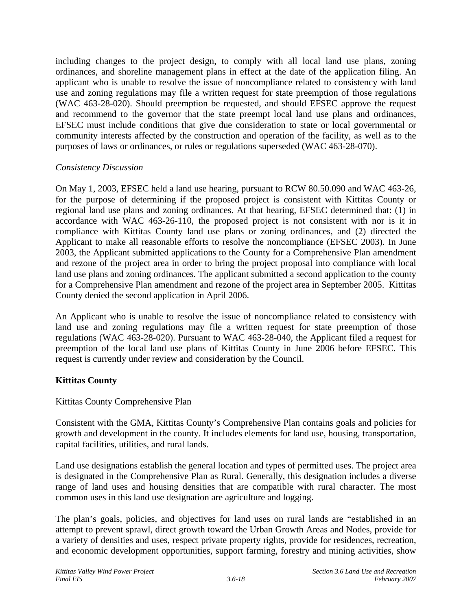including changes to the project design, to comply with all local land use plans, zoning ordinances, and shoreline management plans in effect at the date of the application filing. An applicant who is unable to resolve the issue of noncompliance related to consistency with land use and zoning regulations may file a written request for state preemption of those regulations (WAC 463-28-020). Should preemption be requested, and should EFSEC approve the request and recommend to the governor that the state preempt local land use plans and ordinances, EFSEC must include conditions that give due consideration to state or local governmental or community interests affected by the construction and operation of the facility, as well as to the purposes of laws or ordinances, or rules or regulations superseded (WAC 463-28-070).

## *Consistency Discussion*

On May 1, 2003, EFSEC held a land use hearing, pursuant to RCW 80.50.090 and WAC 463-26, for the purpose of determining if the proposed project is consistent with Kittitas County or regional land use plans and zoning ordinances. At that hearing, EFSEC determined that: (1) in accordance with WAC 463-26-110, the proposed project is not consistent with nor is it in compliance with Kittitas County land use plans or zoning ordinances, and (2) directed the Applicant to make all reasonable efforts to resolve the noncompliance (EFSEC 2003). In June 2003, the Applicant submitted applications to the County for a Comprehensive Plan amendment and rezone of the project area in order to bring the project proposal into compliance with local land use plans and zoning ordinances. The applicant submitted a second application to the county for a Comprehensive Plan amendment and rezone of the project area in September 2005. Kittitas County denied the second application in April 2006.

An Applicant who is unable to resolve the issue of noncompliance related to consistency with land use and zoning regulations may file a written request for state preemption of those regulations (WAC 463-28-020). Pursuant to WAC 463-28-040, the Applicant filed a request for preemption of the local land use plans of Kittitas County in June 2006 before EFSEC. This request is currently under review and consideration by the Council.

# **Kittitas County**

## Kittitas County Comprehensive Plan

Consistent with the GMA, Kittitas County's Comprehensive Plan contains goals and policies for growth and development in the county. It includes elements for land use, housing, transportation, capital facilities, utilities, and rural lands.

Land use designations establish the general location and types of permitted uses. The project area is designated in the Comprehensive Plan as Rural. Generally, this designation includes a diverse range of land uses and housing densities that are compatible with rural character. The most common uses in this land use designation are agriculture and logging.

The plan's goals, policies, and objectives for land uses on rural lands are "established in an attempt to prevent sprawl, direct growth toward the Urban Growth Areas and Nodes, provide for a variety of densities and uses, respect private property rights, provide for residences, recreation, and economic development opportunities, support farming, forestry and mining activities, show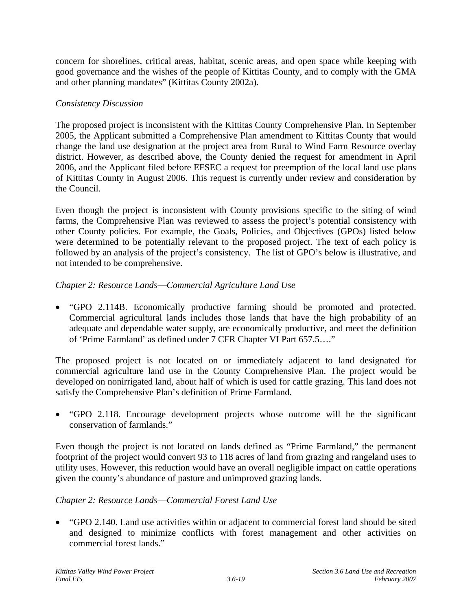concern for shorelines, critical areas, habitat, scenic areas, and open space while keeping with good governance and the wishes of the people of Kittitas County, and to comply with the GMA and other planning mandates" (Kittitas County 2002a).

## *Consistency Discussion*

The proposed project is inconsistent with the Kittitas County Comprehensive Plan. In September 2005, the Applicant submitted a Comprehensive Plan amendment to Kittitas County that would change the land use designation at the project area from Rural to Wind Farm Resource overlay district. However, as described above, the County denied the request for amendment in April 2006, and the Applicant filed before EFSEC a request for preemption of the local land use plans of Kittitas County in August 2006. This request is currently under review and consideration by the Council.

Even though the project is inconsistent with County provisions specific to the siting of wind farms, the Comprehensive Plan was reviewed to assess the project's potential consistency with other County policies. For example, the Goals, Policies, and Objectives (GPOs) listed below were determined to be potentially relevant to the proposed project. The text of each policy is followed by an analysis of the project's consistency. The list of GPO's below is illustrative, and not intended to be comprehensive.

#### *Chapter 2: Resource Lands*⎯*Commercial Agriculture Land Use*

• "GPO 2.114B. Economically productive farming should be promoted and protected. Commercial agricultural lands includes those lands that have the high probability of an adequate and dependable water supply, are economically productive, and meet the definition of 'Prime Farmland' as defined under 7 CFR Chapter VI Part 657.5…."

The proposed project is not located on or immediately adjacent to land designated for commercial agriculture land use in the County Comprehensive Plan. The project would be developed on nonirrigated land, about half of which is used for cattle grazing. This land does not satisfy the Comprehensive Plan's definition of Prime Farmland.

• "GPO 2.118. Encourage development projects whose outcome will be the significant conservation of farmlands."

Even though the project is not located on lands defined as "Prime Farmland," the permanent footprint of the project would convert 93 to 118 acres of land from grazing and rangeland uses to utility uses. However, this reduction would have an overall negligible impact on cattle operations given the county's abundance of pasture and unimproved grazing lands.

## *Chapter 2: Resource Lands*⎯*Commercial Forest Land Use*

• "GPO 2.140. Land use activities within or adjacent to commercial forest land should be sited and designed to minimize conflicts with forest management and other activities on commercial forest lands."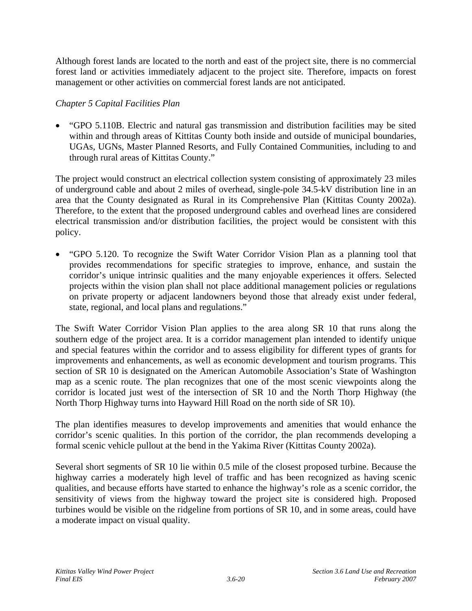Although forest lands are located to the north and east of the project site, there is no commercial forest land or activities immediately adjacent to the project site. Therefore, impacts on forest management or other activities on commercial forest lands are not anticipated.

## *Chapter 5 Capital Facilities Plan*

• "GPO 5.110B. Electric and natural gas transmission and distribution facilities may be sited within and through areas of Kittitas County both inside and outside of municipal boundaries, UGAs, UGNs, Master Planned Resorts, and Fully Contained Communities, including to and through rural areas of Kittitas County."

The project would construct an electrical collection system consisting of approximately 23 miles of underground cable and about 2 miles of overhead, single-pole 34.5-kV distribution line in an area that the County designated as Rural in its Comprehensive Plan (Kittitas County 2002a). Therefore, to the extent that the proposed underground cables and overhead lines are considered electrical transmission and/or distribution facilities, the project would be consistent with this policy.

• "GPO 5.120. To recognize the Swift Water Corridor Vision Plan as a planning tool that provides recommendations for specific strategies to improve, enhance, and sustain the corridor's unique intrinsic qualities and the many enjoyable experiences it offers. Selected projects within the vision plan shall not place additional management policies or regulations on private property or adjacent landowners beyond those that already exist under federal, state, regional, and local plans and regulations."

The Swift Water Corridor Vision Plan applies to the area along SR 10 that runs along the southern edge of the project area. It is a corridor management plan intended to identify unique and special features within the corridor and to assess eligibility for different types of grants for improvements and enhancements, as well as economic development and tourism programs. This section of SR 10 is designated on the American Automobile Association's State of Washington map as a scenic route. The plan recognizes that one of the most scenic viewpoints along the corridor is located just west of the intersection of SR 10 and the North Thorp Highway (the North Thorp Highway turns into Hayward Hill Road on the north side of SR 10).

The plan identifies measures to develop improvements and amenities that would enhance the corridor's scenic qualities. In this portion of the corridor, the plan recommends developing a formal scenic vehicle pullout at the bend in the Yakima River (Kittitas County 2002a).

Several short segments of SR 10 lie within 0.5 mile of the closest proposed turbine. Because the highway carries a moderately high level of traffic and has been recognized as having scenic qualities, and because efforts have started to enhance the highway's role as a scenic corridor, the sensitivity of views from the highway toward the project site is considered high. Proposed turbines would be visible on the ridgeline from portions of SR 10, and in some areas, could have a moderate impact on visual quality.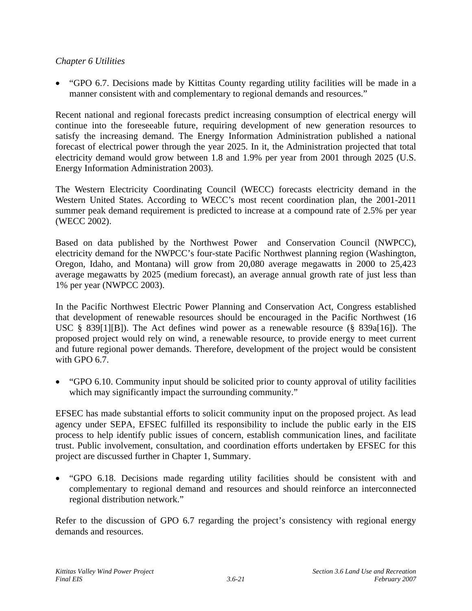## *Chapter 6 Utilities*

• "GPO 6.7. Decisions made by Kittitas County regarding utility facilities will be made in a manner consistent with and complementary to regional demands and resources."

Recent national and regional forecasts predict increasing consumption of electrical energy will continue into the foreseeable future, requiring development of new generation resources to satisfy the increasing demand. The Energy Information Administration published a national forecast of electrical power through the year 2025. In it, the Administration projected that total electricity demand would grow between 1.8 and 1.9% per year from 2001 through 2025 (U.S. Energy Information Administration 2003).

The Western Electricity Coordinating Council (WECC) forecasts electricity demand in the Western United States. According to WECC's most recent coordination plan, the 2001-2011 summer peak demand requirement is predicted to increase at a compound rate of 2.5% per year (WECC 2002).

Based on data published by the Northwest Power and Conservation Council (NWPCC), electricity demand for the NWPCC's four-state Pacific Northwest planning region (Washington, Oregon, Idaho, and Montana) will grow from 20,080 average megawatts in 2000 to 25,423 average megawatts by 2025 (medium forecast), an average annual growth rate of just less than 1% per year (NWPCC 2003).

In the Pacific Northwest Electric Power Planning and Conservation Act, Congress established that development of renewable resources should be encouraged in the Pacific Northwest (16 USC § 839[1][B]). The Act defines wind power as a renewable resource (§ 839a[16]). The proposed project would rely on wind, a renewable resource, to provide energy to meet current and future regional power demands. Therefore, development of the project would be consistent with GPO 6.7.

• "GPO 6.10. Community input should be solicited prior to county approval of utility facilities which may significantly impact the surrounding community."

EFSEC has made substantial efforts to solicit community input on the proposed project. As lead agency under SEPA, EFSEC fulfilled its responsibility to include the public early in the EIS process to help identify public issues of concern, establish communication lines, and facilitate trust. Public involvement, consultation, and coordination efforts undertaken by EFSEC for this project are discussed further in Chapter 1, Summary.

• "GPO 6.18. Decisions made regarding utility facilities should be consistent with and complementary to regional demand and resources and should reinforce an interconnected regional distribution network."

Refer to the discussion of GPO 6.7 regarding the project's consistency with regional energy demands and resources.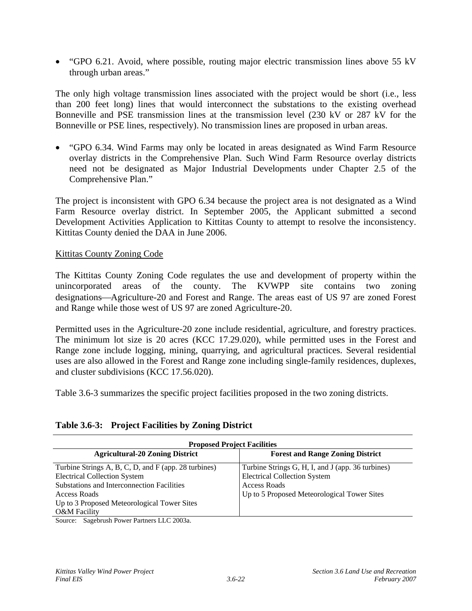• "GPO 6.21. Avoid, where possible, routing major electric transmission lines above 55 kV through urban areas."

The only high voltage transmission lines associated with the project would be short (i.e., less than 200 feet long) lines that would interconnect the substations to the existing overhead Bonneville and PSE transmission lines at the transmission level (230 kV or 287 kV for the Bonneville or PSE lines, respectively). No transmission lines are proposed in urban areas.

• "GPO 6.34. Wind Farms may only be located in areas designated as Wind Farm Resource overlay districts in the Comprehensive Plan. Such Wind Farm Resource overlay districts need not be designated as Major Industrial Developments under Chapter 2.5 of the Comprehensive Plan."

The project is inconsistent with GPO 6.34 because the project area is not designated as a Wind Farm Resource overlay district. In September 2005, the Applicant submitted a second Development Activities Application to Kittitas County to attempt to resolve the inconsistency. Kittitas County denied the DAA in June 2006.

#### Kittitas County Zoning Code

The Kittitas County Zoning Code regulates the use and development of property within the unincorporated areas of the county. The KVWPP site contains two zoning designations—Agriculture-20 and Forest and Range. The areas east of US 97 are zoned Forest and Range while those west of US 97 are zoned Agriculture-20.

Permitted uses in the Agriculture-20 zone include residential, agriculture, and forestry practices. The minimum lot size is 20 acres (KCC 17.29.020), while permitted uses in the Forest and Range zone include logging, mining, quarrying, and agricultural practices. Several residential uses are also allowed in the Forest and Range zone including single-family residences, duplexes, and cluster subdivisions (KCC 17.56.020).

Table 3.6-3 summarizes the specific project facilities proposed in the two zoning districts.

#### **Table 3.6-3: Project Facilities by Zoning District**

| <b>Proposed Project Facilities</b>                                                                                                                             |  |  |  |  |
|----------------------------------------------------------------------------------------------------------------------------------------------------------------|--|--|--|--|
| <b>Forest and Range Zoning District</b>                                                                                                                        |  |  |  |  |
| Turbine Strings G, H, I, and J (app. 36 turbines)<br><b>Electrical Collection System</b><br><b>Access Roads</b><br>Up to 5 Proposed Meteorological Tower Sites |  |  |  |  |
|                                                                                                                                                                |  |  |  |  |

Source: Sagebrush Power Partners LLC 2003a.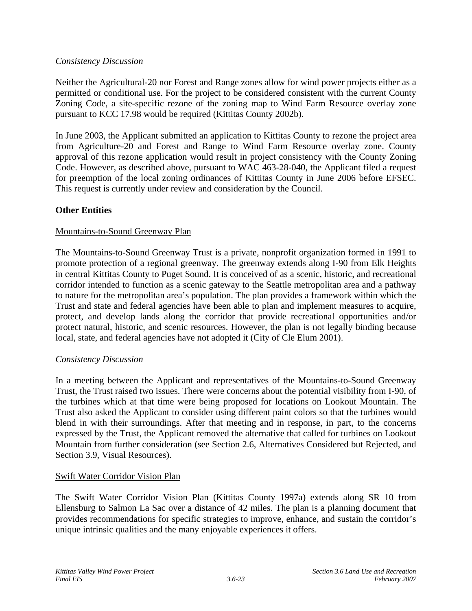#### *Consistency Discussion*

Neither the Agricultural-20 nor Forest and Range zones allow for wind power projects either as a permitted or conditional use. For the project to be considered consistent with the current County Zoning Code, a site-specific rezone of the zoning map to Wind Farm Resource overlay zone pursuant to KCC 17.98 would be required (Kittitas County 2002b).

In June 2003, the Applicant submitted an application to Kittitas County to rezone the project area from Agriculture-20 and Forest and Range to Wind Farm Resource overlay zone. County approval of this rezone application would result in project consistency with the County Zoning Code. However, as described above, pursuant to WAC 463-28-040, the Applicant filed a request for preemption of the local zoning ordinances of Kittitas County in June 2006 before EFSEC. This request is currently under review and consideration by the Council.

## **Other Entities**

#### Mountains-to-Sound Greenway Plan

The Mountains-to-Sound Greenway Trust is a private, nonprofit organization formed in 1991 to promote protection of a regional greenway. The greenway extends along I-90 from Elk Heights in central Kittitas County to Puget Sound. It is conceived of as a scenic, historic, and recreational corridor intended to function as a scenic gateway to the Seattle metropolitan area and a pathway to nature for the metropolitan area's population. The plan provides a framework within which the Trust and state and federal agencies have been able to plan and implement measures to acquire, protect, and develop lands along the corridor that provide recreational opportunities and/or protect natural, historic, and scenic resources. However, the plan is not legally binding because local, state, and federal agencies have not adopted it (City of Cle Elum 2001).

#### *Consistency Discussion*

In a meeting between the Applicant and representatives of the Mountains-to-Sound Greenway Trust, the Trust raised two issues. There were concerns about the potential visibility from I-90, of the turbines which at that time were being proposed for locations on Lookout Mountain. The Trust also asked the Applicant to consider using different paint colors so that the turbines would blend in with their surroundings. After that meeting and in response, in part, to the concerns expressed by the Trust, the Applicant removed the alternative that called for turbines on Lookout Mountain from further consideration (see Section 2.6, Alternatives Considered but Rejected, and Section 3.9, Visual Resources).

#### Swift Water Corridor Vision Plan

The Swift Water Corridor Vision Plan (Kittitas County 1997a) extends along SR 10 from Ellensburg to Salmon La Sac over a distance of 42 miles. The plan is a planning document that provides recommendations for specific strategies to improve, enhance, and sustain the corridor's unique intrinsic qualities and the many enjoyable experiences it offers.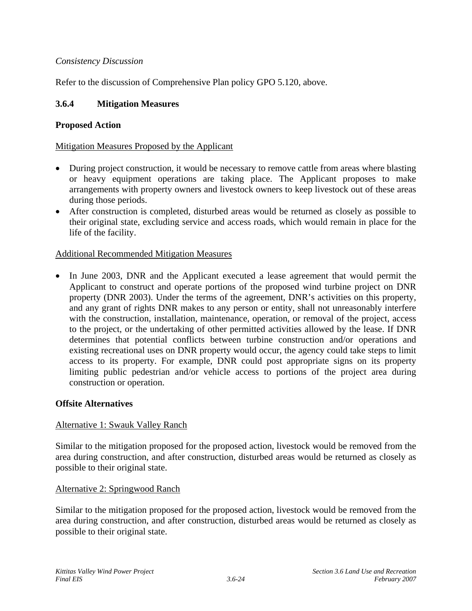## *Consistency Discussion*

Refer to the discussion of Comprehensive Plan policy GPO 5.120, above.

## **3.6.4 Mitigation Measures**

#### **Proposed Action**

#### Mitigation Measures Proposed by the Applicant

- During project construction, it would be necessary to remove cattle from areas where blasting or heavy equipment operations are taking place. The Applicant proposes to make arrangements with property owners and livestock owners to keep livestock out of these areas during those periods.
- After construction is completed, disturbed areas would be returned as closely as possible to their original state, excluding service and access roads, which would remain in place for the life of the facility.

#### Additional Recommended Mitigation Measures

• In June 2003, DNR and the Applicant executed a lease agreement that would permit the Applicant to construct and operate portions of the proposed wind turbine project on DNR property (DNR 2003). Under the terms of the agreement, DNR's activities on this property, and any grant of rights DNR makes to any person or entity, shall not unreasonably interfere with the construction, installation, maintenance, operation, or removal of the project, access to the project, or the undertaking of other permitted activities allowed by the lease. If DNR determines that potential conflicts between turbine construction and/or operations and existing recreational uses on DNR property would occur, the agency could take steps to limit access to its property. For example, DNR could post appropriate signs on its property limiting public pedestrian and/or vehicle access to portions of the project area during construction or operation.

#### **Offsite Alternatives**

#### Alternative 1: Swauk Valley Ranch

Similar to the mitigation proposed for the proposed action, livestock would be removed from the area during construction, and after construction, disturbed areas would be returned as closely as possible to their original state.

#### Alternative 2: Springwood Ranch

Similar to the mitigation proposed for the proposed action, livestock would be removed from the area during construction, and after construction, disturbed areas would be returned as closely as possible to their original state.